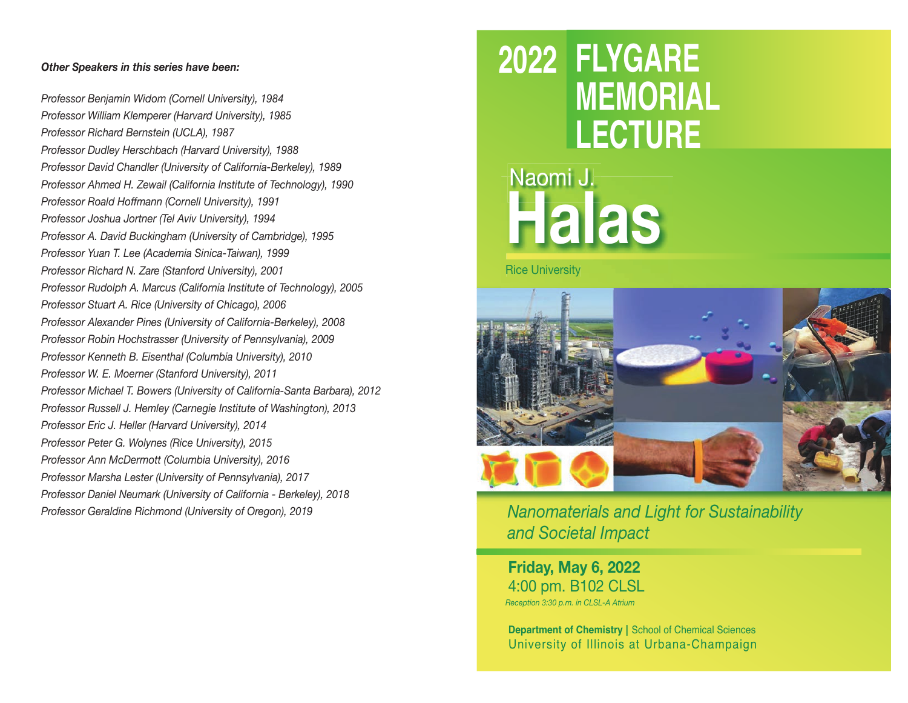## *Other Speakers in this series have been:*

*Professor Benjamin Widom (Cornell University), 1984 Professor William Klemperer (Harvard University), 1985 Professor Richard Bernstein (UCLA), 1987 Professor Dudley Herschbach (Harvard University), 1988 Professor David Chandler (University of California-Berkeley), 1989 Professor Ahmed H. Zewail (California Institute of Technology), 1990 Professor Roald Hoffmann (Cornell University), 1991 Professor Joshua Jortner (Tel Aviv University), 1994 Professor A. David Buckingham (University of Cambridge), 1995 Professor Yuan T. Lee (Academia Sinica-Taiwan), 1999 Professor Richard N. Zare (Stanford University), 2001 Professor Rudolph A. Marcus (California Institute of Technology), 2005 Professor Stuart A. Rice (University of Chicago), 2006 Professor Alexander Pines (University of California-Berkeley), 2008 Professor Robin Hochstrasser (University of Pennsylvania), 2009 Professor Kenneth B. Eisenthal (Columbia University), 2010 Professor W. E. Moerner (Stanford University), 2011 Professor Michael T. Bowers (University of California-Santa Barbara), 2012 Professor Russell J. Hemley (Carnegie Institute of Washington), 2013 Professor Eric J. Heller (Harvard University), 2014 Professor Peter G. Wolynes (Rice University), 2015 Professor Ann McDermott (Columbia University), 2016 Professor Marsha Lester (University of Pennsylvania), 2017 Professor Daniel Neumark (University of California - Berkeley), 2018 Professor Geraldine Richmond (University of Oregon), 2019*

## **2022 FLYGARE MEMORIAL LECTURE**

# Naomi J. Naomi **Halas**

Rice University



*Nanomaterials and Light for Sustainability and Societal Impact*

**Friday, May 6, 2022** 4:00 pm. B102 CLSL *Reception 3:30 p.m. in CLSL-A Atrium*

**Department of Chemistry** | School of Chemical Sciences University of Illinois at Urbana-Champaign